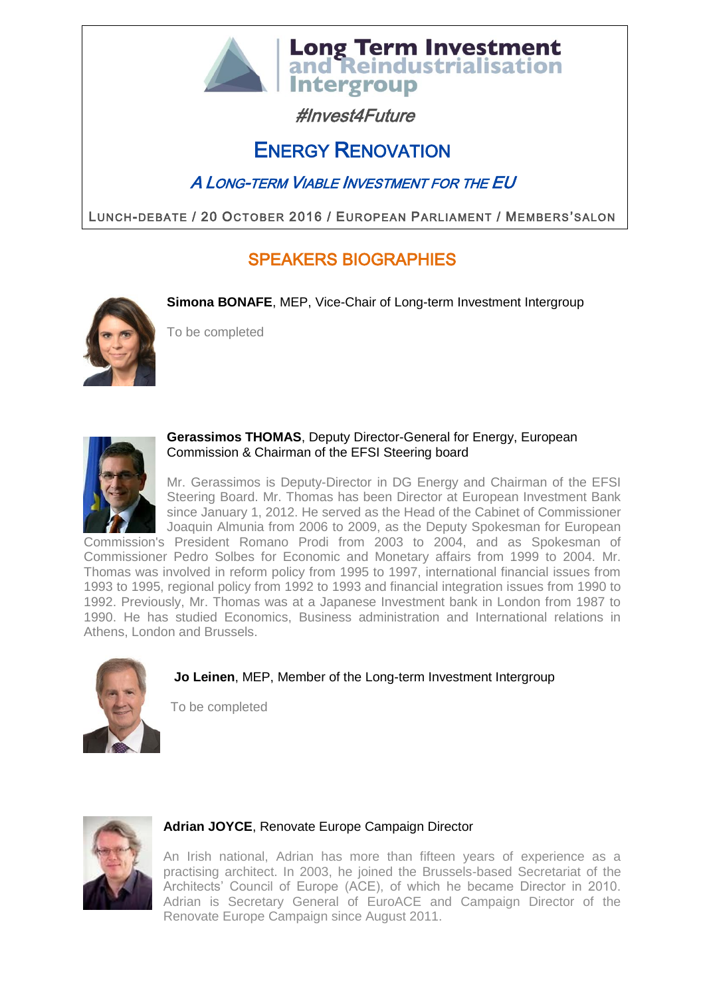

# **Intergroup** #Invest4Future

**Long Term Investment<br>and Reindustrialisation** 

# ENERGY RENOVATION

# A LONG-TERM VIABLE INVESTMENT FOR THE EU

LUNCH-DEBATE / 20 OCTOBER 2016 / EUROPEAN PARLIAMENT / MEMBERS'SALON

# SPEAKERS BIOGRAPHIES

**Simona BONAFE**, MEP, Vice-Chair of Long-term Investment Intergroup



To be completed



#### **Gerassimos THOMAS**, Deputy Director-General for Energy, European Commission & Chairman of the EFSI Steering board

Mr. Gerassimos is Deputy-Director in DG Energy and Chairman of the EFSI Steering Board. Mr. Thomas has been Director at European Investment Bank since January 1, 2012. He served as the Head of the Cabinet of Commissioner Joaquin Almunia from 2006 to 2009, as the Deputy Spokesman for European

Commission's President Romano Prodi from 2003 to 2004, and as Spokesman of Commissioner Pedro Solbes for Economic and Monetary affairs from 1999 to 2004. Mr. Thomas was involved in reform policy from 1995 to 1997, international financial issues from 1993 to 1995, regional policy from 1992 to 1993 and financial integration issues from 1990 to 1992. Previously, Mr. Thomas was at a Japanese Investment bank in London from 1987 to 1990. He has studied Economics, Business administration and International relations in Athens, London and Brussels.



## **Jo Leinen**, MEP, Member of the Long-term Investment Intergroup

To be completed



## **Adrian JOYCE**, Renovate Europe Campaign Director

An Irish national, Adrian has more than fifteen years of experience as a practising architect. In 2003, he joined the Brussels-based Secretariat of the Architects' Council of Europe (ACE), of which he became Director in 2010. Adrian is Secretary General of EuroACE and Campaign Director of the Renovate Europe Campaign since August 2011.